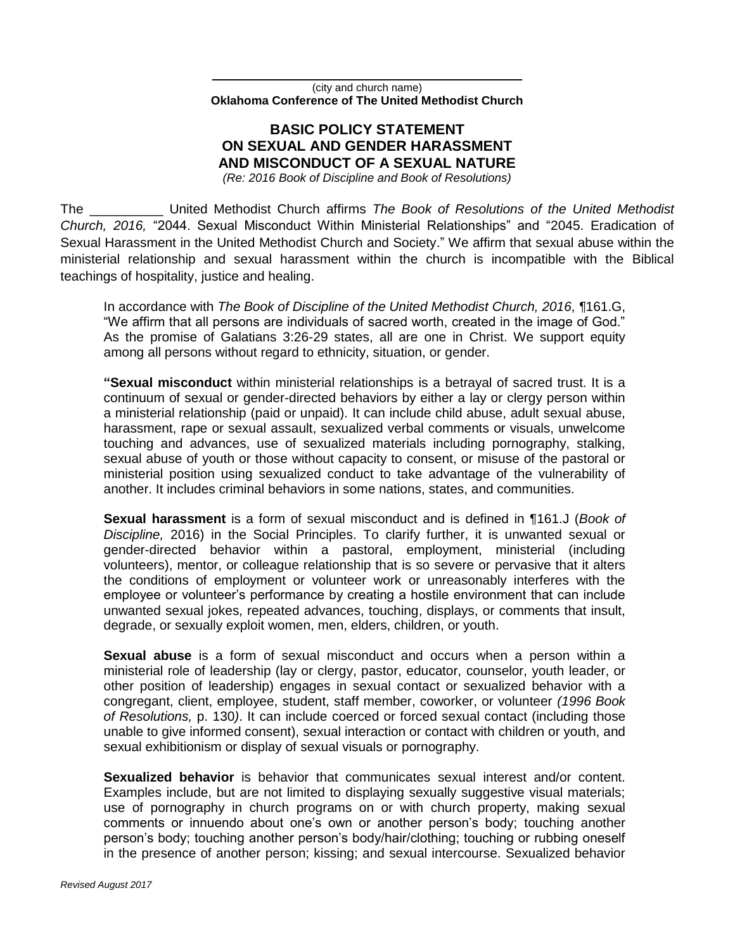\_\_\_\_\_\_\_\_\_\_\_\_\_\_\_\_\_\_\_\_\_\_\_\_\_\_\_\_\_ (city and church name) **Oklahoma Conference of The United Methodist Church**

## **BASIC POLICY STATEMENT ON SEXUAL AND GENDER HARASSMENT AND MISCONDUCT OF A SEXUAL NATURE**

*(Re: 2016 Book of Discipline and Book of Resolutions)*

The \_\_\_\_\_\_\_\_\_\_ United Methodist Church affirms *The Book of Resolutions of the United Methodist Church, 2016,* "2044. Sexual Misconduct Within Ministerial Relationships" and "2045. Eradication of Sexual Harassment in the United Methodist Church and Society." We affirm that sexual abuse within the ministerial relationship and sexual harassment within the church is incompatible with the Biblical teachings of hospitality, justice and healing.

In accordance with *The Book of Discipline of the United Methodist Church, 2016*, *¶*161.G, "We affirm that all persons are individuals of sacred worth, created in the image of God." As the promise of Galatians 3:26-29 states, all are one in Christ. We support equity among all persons without regard to ethnicity, situation, or gender.

**"Sexual misconduct** within ministerial relationships is a betrayal of sacred trust. It is a continuum of sexual or gender-directed behaviors by either a lay or clergy person within a ministerial relationship (paid or unpaid). It can include child abuse, adult sexual abuse, harassment, rape or sexual assault, sexualized verbal comments or visuals, unwelcome touching and advances, use of sexualized materials including pornography, stalking, sexual abuse of youth or those without capacity to consent, or misuse of the pastoral or ministerial position using sexualized conduct to take advantage of the vulnerability of another. It includes criminal behaviors in some nations, states, and communities.

**Sexual harassment** is a form of sexual misconduct and is defined in ¶161.J (*Book of Discipline,* 2016) in the Social Principles. To clarify further, it is unwanted sexual or gender-directed behavior within a pastoral, employment, ministerial (including volunteers), mentor, or colleague relationship that is so severe or pervasive that it alters the conditions of employment or volunteer work or unreasonably interferes with the employee or volunteer's performance by creating a hostile environment that can include unwanted sexual jokes, repeated advances, touching, displays, or comments that insult, degrade, or sexually exploit women, men, elders, children, or youth.

**Sexual abuse** is a form of sexual misconduct and occurs when a person within a ministerial role of leadership (lay or clergy, pastor, educator, counselor, youth leader, or other position of leadership) engages in sexual contact or sexualized behavior with a congregant, client, employee, student, staff member, coworker, or volunteer *(1996 Book of Resolutions,* p. 130*)*. It can include coerced or forced sexual contact (including those unable to give informed consent), sexual interaction or contact with children or youth, and sexual exhibitionism or display of sexual visuals or pornography.

**Sexualized behavior** is behavior that communicates sexual interest and/or content. Examples include, but are not limited to displaying sexually suggestive visual materials; use of pornography in church programs on or with church property, making sexual comments or innuendo about one's own or another person's body; touching another person's body; touching another person's body/hair/clothing; touching or rubbing oneself in the presence of another person; kissing; and sexual intercourse. Sexualized behavior